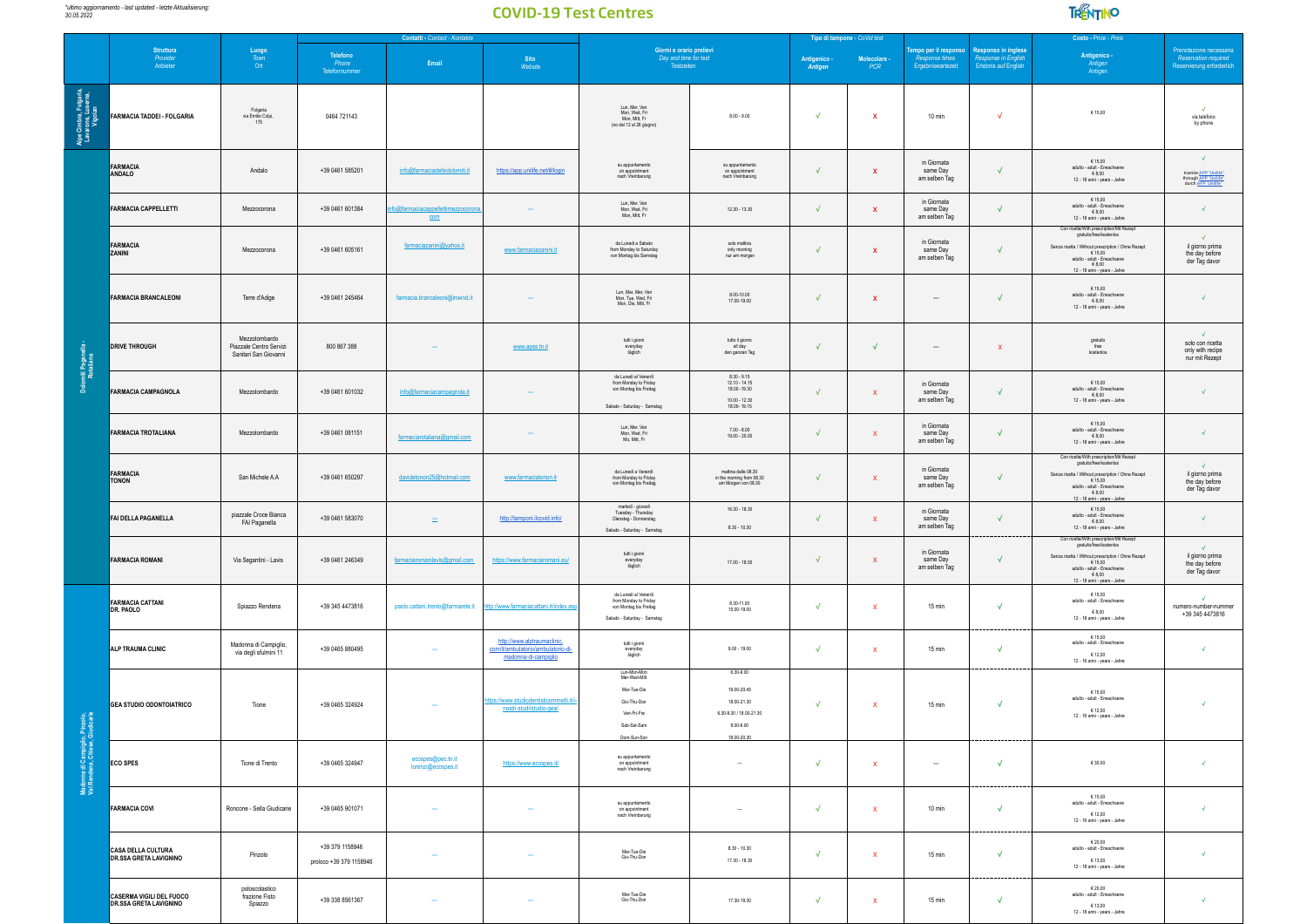

|                                                                   |                                                                  |                                                                                    | Contatti - Contact - Kontakte              |                                         |                                                                                           |                                                                                                        |                                                                                                | Tipo di tampone - CoVid test |              |                                                             | Costo - Price - Preis                                                     |                                                                                                                                                                                                                 |                                                                                     |
|-------------------------------------------------------------------|------------------------------------------------------------------|------------------------------------------------------------------------------------|--------------------------------------------|-----------------------------------------|-------------------------------------------------------------------------------------------|--------------------------------------------------------------------------------------------------------|------------------------------------------------------------------------------------------------|------------------------------|--------------|-------------------------------------------------------------|---------------------------------------------------------------------------|-----------------------------------------------------------------------------------------------------------------------------------------------------------------------------------------------------------------|-------------------------------------------------------------------------------------|
|                                                                   | Struttura<br><i>Provider</i><br>Anbieter                         | $\begin{array}{r}\n\text{Luogo} \\ \hline\n\text{Town} \\ \text{Ort}\n\end{array}$ | Telefono<br>Phone<br>Telefonnummer         | Email                                   | Sito<br>Website                                                                           | Giorni e orario prelievi<br>Day and time for test<br>Testzeiten                                        |                                                                                                | Antigenico<br>Antigen        | Molecolare - | empo per il responso<br>Response times<br>Ergebniswartezeit | <b>Responso in inglese</b><br>Response in English<br>Erlebnis auf English | Antigenico -<br>Antigen<br>Antigen                                                                                                                                                                              | Prenotazione necessaria<br>Reservation required<br>Reservierung erforderlich        |
| Alpe Cimbra, Folgaria,<br>Lavarone, Luserna,<br>Vigolan           | <b>FARMACIA TADDEI - FOLGARIA</b>                                | Folgaria<br>via Emilio Colpi,<br>175                                               | 0464 721143                                |                                         |                                                                                           | Lun, Mer, Ven<br>Mon, Wed, Fri<br>Mon, Mitt, Fr<br>(no dal 12 al 26 giugno)                            | $8.00 - 9.00$                                                                                  | $\sqrt{ }$                   | $\mathbf{x}$ | 10 min                                                      | $\sqrt{ }$                                                                | € 15,00                                                                                                                                                                                                         | via telefono<br>by phone                                                            |
|                                                                   | FARMACIA<br>ANDALO                                               | Andalo                                                                             | +39 0461 585201                            | info@farmaciadelledolomiti.it           | https://app.unilife.net/#/login                                                           | su appuntamento<br>on appointment<br>nach Vreinbarung                                                  | su appuntamento<br>on appointment<br>nach Vreinbarung                                          | $\sqrt{ }$                   | $\mathbf{x}$ | in Giornata<br>same Day<br>am selben Tag                    | $\sqrt{ }$                                                                | € 15,00<br>adulto - adult - Erwachsene<br>€ 8,00<br>12 - 18 anni - years - Jahre                                                                                                                                | $\sqrt{ }$<br>tramite APP "Unilife"<br>through APP "Unilife"<br>durch APP "Unilife" |
|                                                                   | <b>FARMACIA CAPPELLETTI</b>                                      | Mezzocorona                                                                        | +39 0461 601384                            | o@farmaciacappellettimezzocoro<br>com   |                                                                                           | Lun, Mer, Ven<br>Mon, Wed, Fri<br>Mon, Mitt, Fr                                                        | 12.30 - 13.30                                                                                  | $\sqrt{ }$                   | $\mathbf{x}$ | in Giornata<br>same Day<br>am selben Tag                    | $\sqrt{ }$                                                                | €15.00<br>adulto - adult - Erwachsene<br>$\epsilon$ 8,00<br>12 - 18 anni - years - Jahre                                                                                                                        | $\sqrt{ }$                                                                          |
|                                                                   | FARMACIA<br>ZANINI                                               | Mezzocorona                                                                        | +39 0461 605161                            | farmaciazanini@yahoo.it                 | www.farmaciazanini.it                                                                     | da Lunedi a Sabato<br>from Monday to Saturday<br>von Montag bis Samstag                                | solo mattina<br>only morning<br>nur am morgen                                                  | $\sqrt{ }$                   | $\mathbf{x}$ | in Giornata<br>same Day<br>am selben Tag                    | $\sqrt{ }$                                                                | Con ricetta/With prescription/Mit Rezept<br>gratuito/free/kostenlos<br>Senza ricetta / Without prescription / Ohne Rezept<br>€ 15.00<br>adulto - adult - Erwachsene<br>€8.00<br>12 - 18 anni - years - Jahre    | $\sqrt{}$<br>il giorno prima<br>the day before<br>der Tag davor                     |
|                                                                   | <b>FARMACIA BRANCALEONI</b>                                      | Terre d'Adige                                                                      | +39 0461 245464                            | farmacia.brancaleoni@inwind.it          |                                                                                           | Lun, Mar, Mer, Ven<br>Mon, Tue, Wed, Fri<br>Mon, Die, Mitt, Fr                                         | 8.00-10.00<br>17.00-19.00                                                                      | $\sqrt{ }$                   | $\mathbf{x}$ | $\overline{\phantom{a}}$                                    | $\sqrt{}$                                                                 | € 15,00<br>adulto - adult - Erwachsene<br>68,00<br>12 - 18 anni - years - Jahre                                                                                                                                 | $\sqrt{}$                                                                           |
| miti Pagane<br>Rotaliana                                          | <b>DRIVE THROUGH</b>                                             | Mezzolombardo<br>Piazzale Centro Servizi<br>Sanitari San Giovanni                  | 800 867 388                                |                                         | www.apss.tn.it                                                                            | tutti i giorni<br>everyday<br>täglich                                                                  | tutto il giorno<br>all day<br>den ganzen Tag                                                   | $\sqrt{ }$                   | $\sqrt{ }$   | $\overline{\phantom{a}}$                                    | $\mathbf{x}$                                                              | gratuito<br>free<br>kostenios                                                                                                                                                                                   | $\sqrt{2}$<br>solo con ricetta<br>only with recipe<br>nur mit Rezept                |
|                                                                   | <b>FARMACIA CAMPAGNOLA</b>                                       | Mezzolombardo                                                                      | +39 0461 601032                            | info@farmaciacampagnola.it              |                                                                                           | da Lunedi al Venerdì<br>from Monday to Friday<br>von Montag bis Freitag<br>Sabato - Saturday - Samstag | $8.30 - 9.15$<br>12.10 - 14.15<br>18.00 - 19.30<br>$1000 - 1230$<br>18.00-19.15                | $\sqrt{ }$                   | $\mathbf{x}$ | in Giornata<br>same Day<br>am selben Tag                    | $\sqrt{}$                                                                 | € 15,00<br>adulto - adult - Erwachsene<br>€ 8,00<br>12 - 18 anni - years - Jahre                                                                                                                                | $\sqrt{}$                                                                           |
|                                                                   | <b>FARMACIA TROTALIANA</b>                                       | Mezzolombardo                                                                      | +39 0461 081151                            | farmaciarotaliana@gmail.com             |                                                                                           | Lun, Mer, Ven<br>Mon, Wed, Fri<br>Mo, Mitt, Fr                                                         | $7.00 - 8.00$<br>$19.00 - 20.00$                                                               | $\sqrt{ }$                   | $\mathbf{x}$ | in Giornata<br>same Day<br>am selben Tag                    | $\sqrt{2}$                                                                | $6$ 15,00<br>adulto - adult - Erwachsene<br>68,00<br>12 - 18 anni - years - Jahre                                                                                                                               | $\sqrt{ }$                                                                          |
|                                                                   | FARMACIA<br><b>TONON</b>                                         | San Michele A.A                                                                    | +39 0461 650297                            | davidetonon25@hotmail.com               | www.farmaciatonon.it                                                                      | da Lunedi a Venerdi<br>from Monday to Friday<br>von Montag bis Freitag                                 | mattina dalle 08.30<br>in the morning from 08.30<br>am Morgen von 08.30                        | $\sqrt{ }$                   | $\mathbf{x}$ | in Giornata<br>same Day<br>am selben Tag                    | $\sqrt{2}$                                                                | Con ricetta/With prescription/Mit Rezept<br>gratuito/free/kostenios<br>Senza ricetta / Without prescription / Ohne Rezept $\in 15{,}00$<br>adulto - adult - Erwachsene<br>68,00<br>12 - 18 anni - years - Jahre | $\sqrt{2}$<br>il giorno prima<br>the day before<br>der Tag davor                    |
|                                                                   | FAI DELLA PAGANELLA                                              | piazzale Croce Bianca<br>FAI Paganella                                             | +39 0461 583070                            | $\equiv$                                | http://tamponi.ilcovid.info/                                                              | martedì - giovedì<br>Tuesday - Thursday<br>Dienstag - Donnerstag<br>Sabato - Saturday - Samstag        | 16.30 - 18.30<br>$8.30 - 10.30$                                                                | $\sqrt{ }$                   | $\mathbf{x}$ | in Giornata<br>same Day<br>am selben Tag                    | $\sqrt{ }$                                                                | $\begin{array}{c} \in 15{,}00 \\ \mathrm{adult}\cdot\mathsf{Erwachsene} \end{array}$<br>€8.00<br>12 - 18 anni - years - Jahre                                                                                   | $\sqrt{2}$                                                                          |
|                                                                   | <b>FARMACIA ROMANI</b>                                           | Via Segantini - Lavis                                                              | +39 0461 246349                            | farmaciaromanilavis@gmail.com           | https://www.farmaciaromani.eu/                                                            | tutti i giorni<br>everyday<br>täglich                                                                  | $17.00 - 18.00$                                                                                | $\sqrt{ }$                   | $\mathbf{x}$ | in Giornata<br>same Day<br>am selben Tag                    | $\sqrt{ }$                                                                | Con ricetta/With prescription/Mit Rezept<br>gratuito/free/kostenios<br>Senza ricetta / Without prescription / Ohne Rezept<br>€ 15.00<br>adulto - adult - Erwachsene<br>€8.00<br>12 - 18 anni - years - Jahre    | $\sqrt{ }$<br>il giorno prima<br>the day before<br>der Tag davor                    |
|                                                                   | <b>FARMACIA CATTANI</b><br>DR. PAOLO                             | Spiazzo Rendena                                                                    | +39 345 4473816                            | paolo.cattani.trento@farmarete.it       | http://www.farmaciacattani.it/index.asp                                                   | da Lunedi al Venerdì<br>from Monday to Friday<br>von Montag bis Freitag<br>Sabato - Saturday - Samstag | 8.30-11.00<br>15.00-19.00                                                                      | $\sqrt{ }$                   | $\mathbf{x}$ | 15 min                                                      | $\sqrt{ }$                                                                | 615,00<br>adulto - adult - Erwachsene<br>$-68,00$<br>12 - 18 anni - years - Jahre                                                                                                                               | $\sqrt{2}$<br>numero-number-nummer<br>+39 345 4473816                               |
|                                                                   | ALP TRAUMA CLINIC                                                | Madonna di Campiglio,<br>via degli sfulmini 11                                     | +39 0465 880495                            |                                         | http://www.alptraumaclinic.<br>com/it/ambulatorio/ambulatorio-di-<br>madonna-di-campiglio | tutti i giorni<br>everyday<br>täglich                                                                  | $9.00 - 19.00$                                                                                 | $\sqrt{}$                    | $\mathbf{x}$ | 15 min                                                      | $\sqrt{ }$                                                                | €15.00<br>adulto - adult - Erwachsene<br>€ 12,00<br>12 - 16 anni - years - Jahre                                                                                                                                | $\sqrt{ }$                                                                          |
|                                                                   | <b>GEA STUDIO ODONTOIATRICO</b>                                  | Tione                                                                              | +39 0465 324924                            |                                         | tps://www.studiodentisticominetti.it<br>nostri-studi/studio-gea/                          | Lun-Mon-Mon<br>Mer-Wed-Mitt<br>Mar-Tue-Die<br>Gio-Thu-Don<br>Ven-Fri-Fre<br>Sab-Sat-Sam<br>Dom-Sun-Son | 6.30-9.00<br>19.00-20.45<br>18.00-21.30<br>6.30-9.30 / 18.00-21.30<br>8.00-9.00<br>18.00-20.30 | $\sqrt{2}$                   | $\mathbf{x}$ | 15 min                                                      | $\sqrt{ }$                                                                | €15,00<br>adulto - adult - Erwachsene<br>€ 12,00<br>12 - 16 anni - years - Jahre                                                                                                                                | $\sqrt{2}$                                                                          |
| Madonna di Campiglio, Pinzolo,<br>Val Rendena, Chiese, Giudicarie | <b>ECO SPES</b>                                                  | Tione di Trento                                                                    | +39 0465 324947                            | ecospes@pec.tn.it<br>lorenzi@ecospes.it | https://www.ecospes.it/                                                                   | su appuntamento<br>on appointment<br>nach Vreinbarung                                                  | $\sim$                                                                                         | $\sqrt{2}$                   | $\mathbf{x}$ | $\cdots$                                                    | $\sqrt{ }$                                                                | €30.00                                                                                                                                                                                                          | $\sqrt{ }$                                                                          |
|                                                                   | <b>FARMACIA COVI</b>                                             | Roncone - Sella Giudicarie                                                         | +39 0465 901071                            | $\sim$                                  | $\sim$                                                                                    | su appuntamento<br>on appointment<br>nach Vreinbarung                                                  | $\overline{\phantom{a}}$                                                                       | $\sqrt{ }$                   | $\mathbf{x}$ | $10 \text{ min}$                                            | $\sqrt{ }$                                                                | €15,00<br>adulto - adult - Erwachsene<br>€12.00<br>12 - 16 anni - years - Jahre                                                                                                                                 | $\sqrt{ }$                                                                          |
|                                                                   | CASA DELLA CULTURA<br><b>DR.SSA GRETA LAVIGNINO</b>              | Pinzolo                                                                            | +39 379 1158946<br>proloco +39 379 1158946 |                                         | ä,                                                                                        | Mar-Tue-Die<br>Gio-Thu-Don                                                                             | $8.30 - 10.30$<br>$17.30 - 18.30$                                                              | $\sqrt{ }$                   | $\mathbf{x}$ | 15 min                                                      | $\sqrt{ }$                                                                | 62000<br>adulto - adult - Erwachsene<br>€ 13,00<br>12 - 18 anni - years - Jahre                                                                                                                                 | $\sqrt{ }$                                                                          |
|                                                                   | <b>CASERMA VIGILI DEL FUOCO</b><br><b>DR.SSA GRETA LAVIGNINO</b> | poloscolastico<br>frazione Fisto<br>Spiazzo                                        | +39 338 8561367                            |                                         | $\sim$                                                                                    | Mar-Tue-Die<br>Gio-Thu-Don                                                                             | 17.30-19.30                                                                                    | $\sqrt{2}$                   | X            | 15 min                                                      | $\sqrt{ }$                                                                | €20,00<br>adulto - adult - Erwachsene<br>$6$ 13,00<br>12 - 18 anni - years - Jahre                                                                                                                              | $\sqrt{ }$                                                                          |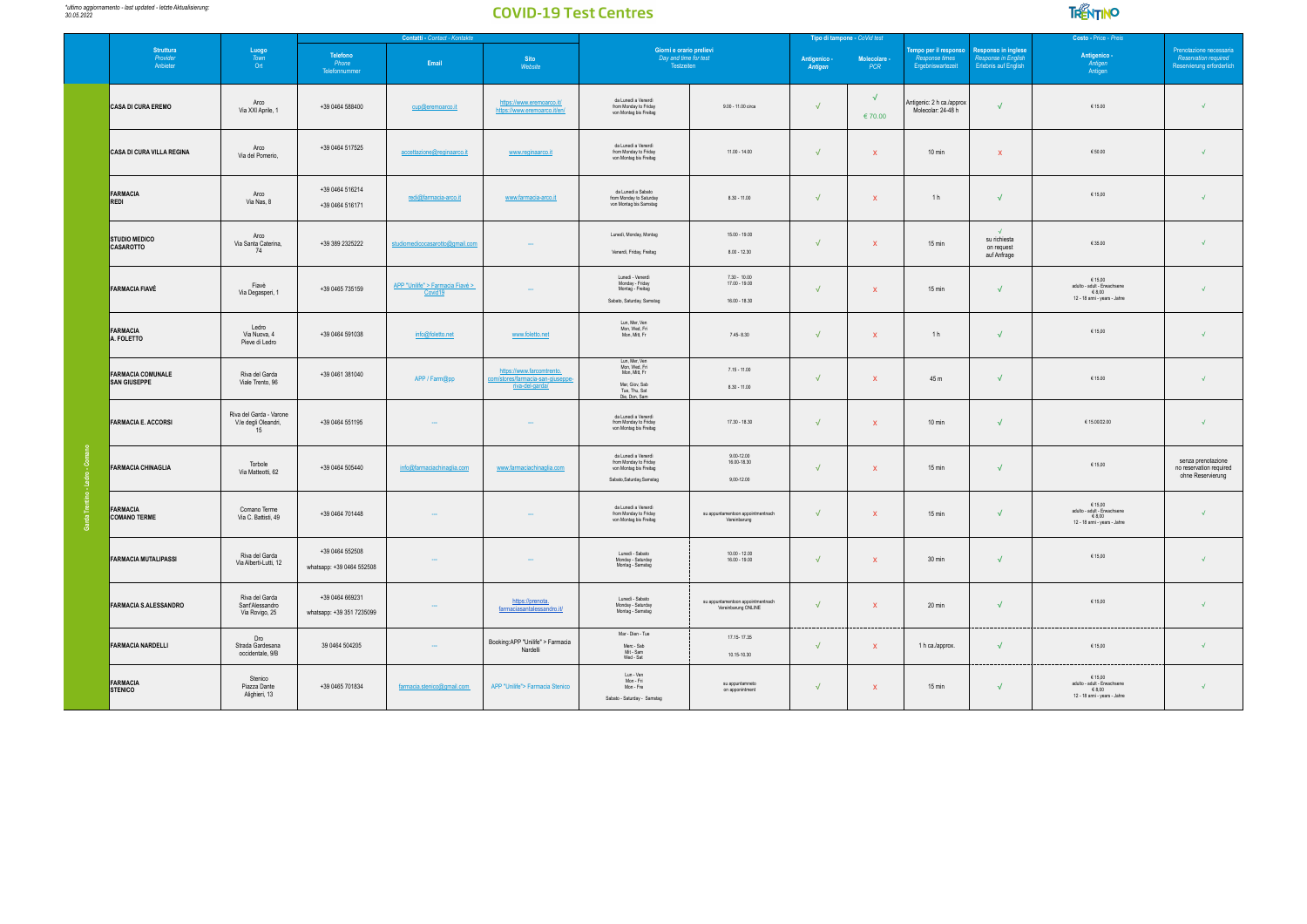

|                                                 |                                                                          |                                              | Contatti - Contact - Kontakte               |                                                                               |                                                                                                     |                                                          |                         | Tipo di tampone - CoVid test                           |                                                              |                                                                          | Costo - Price - Preis                                                                                                                             |                                                                              |
|-------------------------------------------------|--------------------------------------------------------------------------|----------------------------------------------|---------------------------------------------|-------------------------------------------------------------------------------|-----------------------------------------------------------------------------------------------------|----------------------------------------------------------|-------------------------|--------------------------------------------------------|--------------------------------------------------------------|--------------------------------------------------------------------------|---------------------------------------------------------------------------------------------------------------------------------------------------|------------------------------------------------------------------------------|
| <b>Struttura</b><br>Provider<br>Anbieter        | $\begin{array}{c} \text{Luogo} \\ \text{Town} \end{array}$<br><b>Ort</b> | Telefono<br>Phone<br>Telefonnummer           | Email                                       | Sito<br>Website                                                               | Giorni e orario prelievi<br>Day and time for test<br>Testzeiten                                     |                                                          | Antigenico -<br>Antigen | $\frac{\text{Molecular} \cdot \text{PCR}}{\text{PCR}}$ | Tempo per il responso<br>Response times<br>Ergebniswartezeit | <b>Responso in inglese</b><br>Response in Englis<br>Erlebnis auf English | Antigenico -<br>Antigen<br>Antigen                                                                                                                | Prenotazione necessaria<br>Reservation required<br>Reservierung erforderlich |
| CASA DI CURA EREMO                              | Arco<br>Via XXI Aprile, 1                                                | +39 0464 588400                              | cup@eremoarco.it                            | https://www.eremoarco.it/<br>https://www.eremoarco.it/en/                     | da Lunedì a Venerdì<br>from Monday to Friday<br>von Montag bis Freitag                              | 9.00 - 11.00 circa                                       | $\sqrt{ }$              | $\sqrt{ }$<br>€70.00                                   | Antigenic: 2 h ca./approx<br>Molecolar: 24-48 h              | $\sqrt{ }$                                                               | € 15.00                                                                                                                                           |                                                                              |
| CASA DI CURA VILLA REGINA                       | Arco<br>Via del Pomerio,                                                 | +39 0464 517525                              | accettazione@reginaarco.it                  | www.reginaarco.it                                                             | da Lunedì a Venerdì<br>from Monday to Friday<br>von Montag bis Freitag                              | $11.00 - 14.00$                                          | $\sqrt{ }$              | $\mathbf{x}$                                           | $10 \text{ min}$                                             | $\mathbf{x}$                                                             | 650.00                                                                                                                                            | $\sqrt{ }$                                                                   |
| FARMACIA<br>REDI                                | Arco<br>Via Nas, 8                                                       | +39 0464 516214<br>+39 0464 516171           | redi@farmacia-arco.it                       | www.farmacia-arco.it                                                          | da Lunedi a Sabato<br>from Monday to Saturday<br>von Montag bis Samstag                             | $8.30 - 11.00$                                           | $\sqrt{ }$              | $\mathbf{x}$                                           | 1 <sub>h</sub>                                               | J                                                                        | € 15,00                                                                                                                                           |                                                                              |
| <b>STUDIO MEDICO</b><br>CASAROTTO               | Arco<br>Via Santa Caterina,<br>74                                        | +39 389 2325222                              | studiomedicocasarotto@gmail.com             |                                                                               | Lunedì, Monday, Montag<br>Venerdi, Friday, Freitag                                                  | $15.00 - 19.00$<br>$8.00 - 12.30$                        | $\sqrt{ }$              | $\mathbf{x}$                                           | 15 min                                                       | $\mathcal{A}$<br>su richiesta<br>on request<br>auf Anfrage               | €35.00                                                                                                                                            | $\sqrt{ }$                                                                   |
| FARMACIA FIAVÉ                                  | Fiavè<br>Via Degasperi, 1                                                | +39 0465 735159                              | APP "Unilife" > Farmacia Fiavé ><br>Covid19 |                                                                               | Lunedì - Venerdì<br>Monday - Friday<br>Montag - Freitag<br>Sabato, Saturday, Samstag                | $730 - 1000$<br>$17.00 - 19.00$<br>$16.00 - 18.30$       | $\sqrt{}$               | $\mathbf{x}$                                           | $15 \text{ min}$                                             | $\sqrt{2}$                                                               | € 15,00<br>$\begin{array}{c} \text{adult} \cdot \text{Eruachsene} \\ \in 8,00 \end{array}$<br>12 - 18 anni - years - Jahre                        |                                                                              |
| <b>FARMACIA</b><br>A. FOLETTO                   | Ledro<br>Via Nuova, 4<br>Pieve di Ledro                                  | +39 0464 591038                              | info@foletto.net                            | www.foletto.net                                                               | Lun, Mer, Ven<br>Mon, Wed, Fri<br>Mon, Mitt, Fr                                                     | 7.45-8.30                                                | $\sqrt{ }$              | $\mathbf{x}$                                           | 1 <sub>h</sub>                                               | $\sqrt{2}$                                                               | € 15,00                                                                                                                                           | $\sqrt{ }$                                                                   |
| <b>FARMACIA COMUNALE</b><br><b>SAN GIUSEPPE</b> | Riva del Garda<br>Viale Trento, 96                                       | +39 0461 381040                              | APP / Farm@pp                               | https://www.farcomtrento.<br>com/stores/farmacia-san-giuse<br>riva-del-garda/ | Lun, Mer, Ven<br>Mon, Wed, Fri<br>Mon, Mitt, Fr<br>Mar, Giov, Sab<br>Tue, Thu, Sat<br>Die, Don, Sam | $7.15 - 11.00$<br>$8.30 - 11.00$                         | $\sqrt{ }$              | $\mathbf{x}$                                           | 45 m                                                         | $\sqrt{2}$                                                               | 615.00                                                                                                                                            | $\sqrt{ }$                                                                   |
| <b>FARMACIA E. ACCORSI</b>                      | Riva del Garda - Varone<br>V.le degli Oleandri,<br>15                    | +39 0464 551195                              |                                             |                                                                               | da Lunedì a Venerdì<br>from Monday to Friday<br>von Montag bis Freitag                              | $17.30 - 18.30$                                          | $\sqrt{ }$              | $\mathbf{x}$                                           | $10 \text{ min}$                                             | $\sqrt{2}$                                                               | €15.00/22.00                                                                                                                                      | $\sqrt{ }$                                                                   |
| <b>FARMACIA CHINAGLIA</b>                       | Torbole<br>Via Matteotti, 62                                             | +39 0464 505440                              | info@farmaciachinaglia.com                  | www.farmaciachinaglia.com                                                     | da Lunedì a Venerdì<br>from Monday to Friday<br>von Montag bis Freitag<br>Sabato, Saturday, Samstag | $9.00 - 12.00$<br>16.00-18.30<br>9,00-12.00              | $\sqrt{ }$              | $\mathbf{x}$                                           | 15 min                                                       | $\sqrt{2}$                                                               | € 15,00                                                                                                                                           | senza prenotazione<br>no reservation required<br>ohne Reservierung           |
| <b>FARMACIA</b><br><b>COMANO TERME</b>          | Comano Terme<br>Via C. Battisti, 49                                      | +39 0464 701448                              |                                             |                                                                               | da Lunedì a Venerdì<br>from Monday to Friday<br>von Montag bis Freitag                              | su appuntamentoon appointmentnach<br>Vereinbarung        | $\sqrt{ }$              | $\mathbf{x}$                                           | 15 min                                                       | $\sqrt{2}$                                                               | $\begin{array}{c} \in 15{,}00 \\ \text{adult} \cdot \text{ Eruachsene} \end{array}$<br>$-68,00$<br>12 - 18 anni - years - Jahre                   | $\sqrt{ }$                                                                   |
| <b>FARMACIA MUTALIPASSI</b>                     | Riva del Garda<br>Via Alberti-Lutti, 12                                  | +39 0464 552508<br>whatsapp: +39 0464 552508 |                                             |                                                                               | Lunedì - Sabato<br>Monday - Saturday<br>Montag - Samstag                                            | $10.00 - 12.00$<br>$16.00 - 19.00$                       | $\sqrt{ }$              | $\mathbf{x}$                                           | 30 min                                                       | $\sqrt{}$                                                                | € 15,00                                                                                                                                           | $\sqrt{ }$                                                                   |
| <b>FARMACIA S.ALESSANDRO</b>                    | Riva del Garda<br>Sant'Alessandro<br>Via Rovigo, 25                      | +39 0464 669231<br>whatsapp: +39 351 7235099 |                                             | https://prenota.<br>farmaciasantalessandro.it                                 | Lunedì - Sabato<br>Monday - Saturday<br>Montag - Samstag                                            | su appuntamentoon appointmentnach<br>Vereinbarung ONLINE | $\sqrt{ }$              | $\mathbf{x}$                                           | 20 min                                                       | $\sqrt{ }$                                                               | € 15,00                                                                                                                                           | $\sqrt{ }$                                                                   |
| <b>FARMACIA NARDELLI</b>                        | Dro<br>Strada Gardesana<br>occidentale, 9/B                              | 39 0464 504205                               |                                             | Booking:APP "Unilife" > Farmacia<br>Nardelli                                  | Mar - Dien - Tue<br>Merc - Sab<br>Mit - Sam<br>Wed - Sat                                            | 17.15-17.35<br>10.15-10.30                               | $\sqrt{ }$              | $\mathbf{x}$                                           | 1 h ca./approx.                                              | $\sqrt{ }$                                                               | 615,00                                                                                                                                            | $\sqrt{ }$                                                                   |
| <b>FARMACIA</b><br><b>STENICO</b>               | Stenico<br>Piazza Dante<br>Alighieri, 13                                 | +39 0465 701834                              | farmacia.stenico@gmail.com                  | APP "Unilife"> Farmacia Stenico                                               | Lun - Ven<br>Mon-Fri<br>Mon - Fre<br>Sabato - Saturday - Samstag                                    | su appuntamneto<br>on apponintment                       | $\sqrt{ }$              | $\mathbf{x}$                                           | 15 min                                                       | $\sqrt{ }$                                                               | $\begin{array}{c} \in \texttt{15,00} \\ \texttt{adult} \cdot \texttt{Ewachsene} \\ \in \texttt{8,00} \end{array}$<br>12 - 18 anni - years - Jahre | $\sqrt{2}$                                                                   |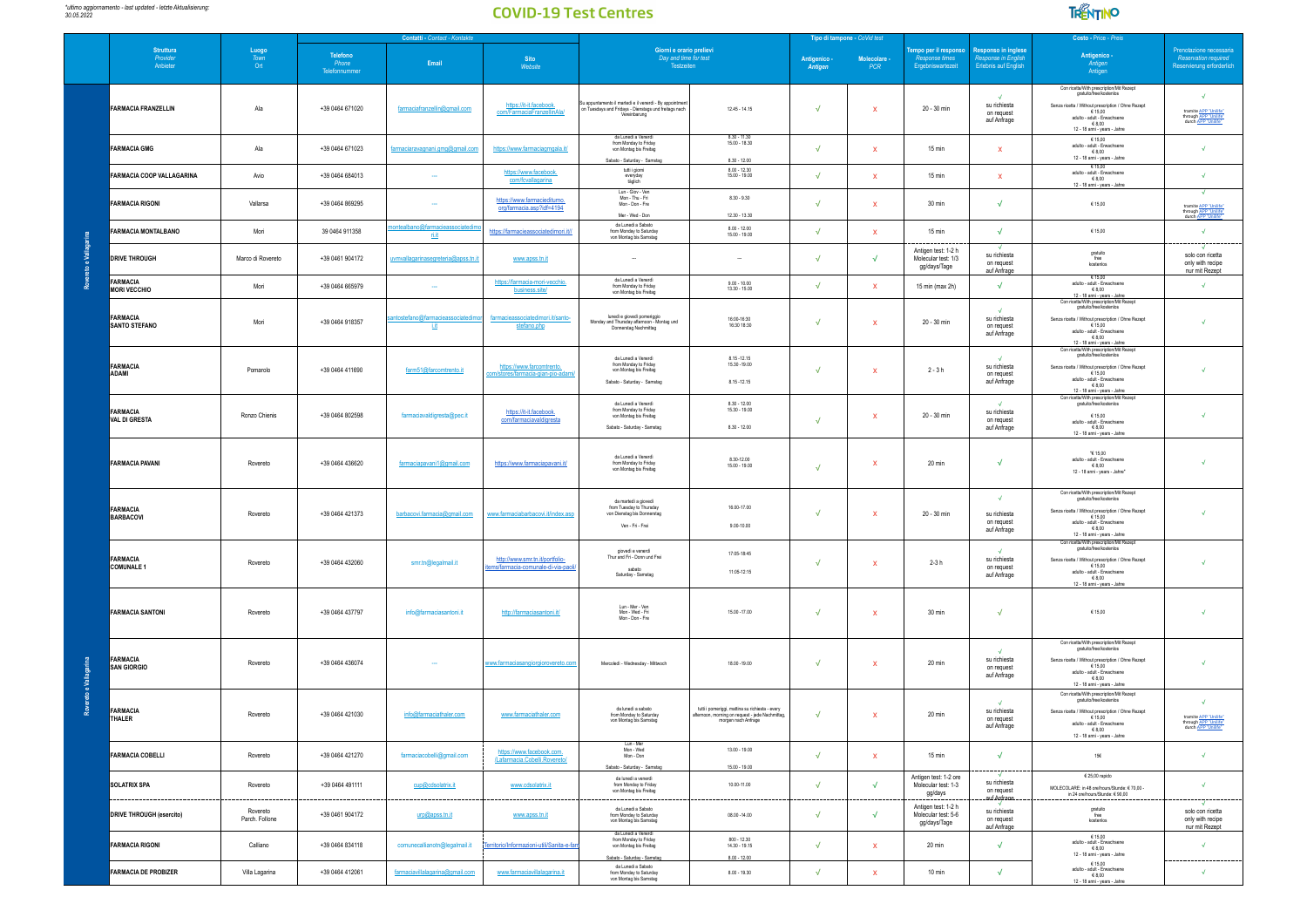

|   |                                          |                                                                   | Contatti - Contact - Kontakte      |                                     |                                                                        |                                                                                                                                  | Tipo di tampone - CoVid test                                                                                               |                         |                                       |                                                             |                                                             | Costo - Price - Preis                                                                                                                                                                                           |                                                                                                   |  |
|---|------------------------------------------|-------------------------------------------------------------------|------------------------------------|-------------------------------------|------------------------------------------------------------------------|----------------------------------------------------------------------------------------------------------------------------------|----------------------------------------------------------------------------------------------------------------------------|-------------------------|---------------------------------------|-------------------------------------------------------------|-------------------------------------------------------------|-----------------------------------------------------------------------------------------------------------------------------------------------------------------------------------------------------------------|---------------------------------------------------------------------------------------------------|--|
|   | Struttura<br><i>Provider</i><br>Anbieter | $\begin{array}{c} \text{Luogo} \\ \text{Town} \end{array}$<br>Ort | Telefono<br>Phone<br>Telefonnummer | Email                               | <b>Sito</b><br>Website                                                 | Giorni e orario prelievi<br>Day and time for test<br>Testzeiten                                                                  |                                                                                                                            | Antigenico -<br>Antigen | $\frac{\text{Molecular}}{\text{PCR}}$ | empo per il responso<br>Response times<br>Ergebniswartezeit | Responso in inglese<br>sponse in En<br>Erlebnis auf English | Antigenico -<br>Antigen<br>Antigen                                                                                                                                                                              | Prenotazione necessaria<br>Reservation required<br>Reservierung erforderlich                      |  |
|   | <b>FARMACIA FRANZELLIN</b>               | Ala                                                               | +39 0464 671020                    | farmaciafranzellin@gmail.com        | https://it-it.facebook<br>com/FarmaciaFranzellinAla/                   | Su appuntamento il martedì e il venerdì - By appointmer<br>on Tuesdays and Fridays - Dienstags und freitags nach<br>Vereinbarung | $12.45 - 14.15$                                                                                                            | $\sqrt{ }$              | x                                     | 20 - 30 min                                                 | $\sqrt{2}$<br>su richiesta<br>on request<br>auf Anfrage     | Con ricetta/With prescription/Mit Rezept<br>gratuito/free/kostenios<br>Senza ricetta / Without prescription / Ohne Rezept<br>€ 15,00<br>adulto - adult - Erwachsene<br>$-68,00$<br>12 - 18 anni - years - Jahre | $\sqrt{2}$<br>tramite APP "Unilife"<br>through APP "Unilife"<br>durch APP "Unilife"               |  |
|   | <b>FARMACIA GMG</b>                      | Ala                                                               | +39 0464 671023                    | farmaciaravagnani.gmg@gmail.com     | https://www.farmaciagmgala.it/                                         | da Lunedì a Venerdì<br>from Monday to Friday<br>von Montag bis Freitag<br>Sabato - Saturday - Samstag                            | $8.30 - 11.30$<br>$15.00 - 18.30$<br>$8.30 - 12.00$                                                                        | $\sqrt{ }$              | x                                     | 15 min                                                      | x                                                           | € 15,00<br>adulto - adult - Erwachsene<br>$\in$ 8,00<br>12 - 18 anni - years - Jahre                                                                                                                            | $\sqrt{2}$                                                                                        |  |
|   | <b>FARMACIA COOP VALLAGARINA</b>         | Avio                                                              | +39 0464 684013                    |                                     | https://www.facebook.<br>com/fcvallagarina                             | tutti i giorni<br>everyday<br>täglich                                                                                            | $800 - 1230$<br>$15.00 - 19.00$                                                                                            |                         | $\mathbf{x}$                          | 15 min                                                      | $\mathbf{x}$                                                | € 15,00<br>adulto - adult - Erwachsene<br>$-68,00$<br>12 - 18 anni - years - Jahre                                                                                                                              | $\sqrt{ }$                                                                                        |  |
|   | <b>FARMACIA RIGONI</b>                   | Vallarsa                                                          | +39 0464 869295                    | $\sim$                              | https://www.farmaciediturno<br>org/farmacia.asp?idf=4194               | Lun - Giov - Ven<br>Mon - Thu - Fri<br>Mon - Don - Fre<br>Mer - Wed - Don                                                        | $8.30 - 9.30$<br>12.30 - 13.30                                                                                             | $\sqrt{ }$              | x                                     | 30 min                                                      | $\sqrt{ }$                                                  | € 15,00                                                                                                                                                                                                         | tramite APP "Unilife"<br>through APP "Unilife"<br>durch APP "Unilife"                             |  |
|   | <b>FARMACIA MONTALBANO</b>               | Mori                                                              | 39 0464 911358                     | ri.it                               | https://farmacieassociatedimori.it//                                   | da Lunedi a Sabato<br>from Monday to Saturday<br>von Montag bis Samstag                                                          | $8.00 - 12.00$<br>$15.00 - 19.00$                                                                                          | $\sqrt{ }$              | $\mathbf{x}$                          | 15 min                                                      | $\sqrt{ }$                                                  | € 15,00                                                                                                                                                                                                         | $\sqrt{ }$                                                                                        |  |
| 園 | <b>DRIVE THROUGH</b>                     | Marco di Rovereto                                                 | +39 0461 904172                    | uvmvallagarinasegreteria@apss.tn.if | www.apss.tn.it                                                         |                                                                                                                                  |                                                                                                                            | $\sqrt{ }$              | $\sqrt{}$                             | Antigen test: 1-2 h<br>Molecular test: 1/3<br>gg/days/Tage  | su richiesta<br>on request<br>auf Anfrage                   | gratuito<br>free<br>kostenios                                                                                                                                                                                   | $\sqrt{2}$<br>solo con ricetta<br>only with recipe<br>nur mit Rezept                              |  |
|   | <b>FARMACIA</b><br><b>MORI VECCHIO</b>   | Mori                                                              | +39 0464 665979                    |                                     | https://farmacia-mori-vecchio.<br>business.site/                       | da Lunedì a Venerdì<br>from Monday to Friday<br>von Montag bis Freitag                                                           | $9.00 - 10.00$<br>$13.30 - 15.00$                                                                                          | $\sqrt{ }$              | x                                     | 15 min (max 2h)                                             | $\sqrt{}$                                                   | € 15,00<br>adulto - adult - Erwachsene<br>68,00<br>12 - 18 anni - years - Jahre<br>Con ricetta/With prescription/Mit Rezept                                                                                     | $\sqrt{2}$                                                                                        |  |
|   | <b>FARMACIA</b><br><b>SANTO STEFANO</b>  | Mori                                                              | +39 0464 918357                    | üt                                  | farmacieassociatedimori.it/sant<br>stefano.php                         | lunedì e giovedì pomeriggio<br>Monday and Thursday afternoon - Montag und<br>Donnerstag Nachmittag                               | 16:00-16:30<br>16:30 18:30                                                                                                 | $\sqrt{ }$              | $\mathbf{x}$                          | 20 - 30 min                                                 | su richiesta<br>on request<br>auf Anfrage                   | gratuito/free/kostenios<br>Senza ricetta / Without prescription / Ohne Rezept<br>€ 15.00<br>adulto - adult - Erwachsene<br>$-68,00$<br>12 - 18 anni - years - Jahre<br>Con ricetta/With prescription/Mit Rezept | $\sqrt{2}$                                                                                        |  |
|   | <b>FARMACIA</b><br>ADAMI                 | Pomarolo                                                          | +39 0464 411690                    | farm51@farcomtrento.it              | https://www.farcomtrento.<br><u>om/stores/farmacia-gian-pio-adami</u>  | da Lunedì a Venerdì<br>from Monday to Friday<br>von Montag bis Freitag<br>Sabato - Saturday - Samstag                            | 8 15 - 12 15<br>15.30 - 19.00<br>$8.15 - 12.15$                                                                            | $\sqrt{ }$              | x                                     | $2 - 3h$                                                    | $\sqrt{2}$<br>su richiesta<br>on request<br>auf Anfrage     | gratuito/free/kostenios<br>Senza ricetta / Without prescription / Ohne Rezept<br>€ 15,00<br>adulto - adult - Erwachsene<br>€ 8,00<br>12 - 18 anni - years - Jahre                                               | √                                                                                                 |  |
|   | <b>FARMACIA</b><br><b>VAL DI GRESTA</b>  | Ronzo Chienis                                                     | +39 0464 802598                    | farmaciavaldigresta@pec.it          | https://it-it.facebook.<br>com/farmaciavaldigresta                     | da Lunedì a Venerdì<br>from Monday to Friday<br>von Montag bis Freitag<br>Sabato - Saturday - Samstag                            | $8.30 - 12.00$<br>15.30 - 19.00<br>$8.30 - 12.00$                                                                          | $\sqrt{ }$              | x                                     | 20 - 30 min                                                 | $\mathcal{A}$<br>su richiesta<br>on request<br>auf Anfrage  | Con ricetta/With prescription/Mit Rezept<br>gratuito/free/kostenios<br>€ 15.00<br>adulto - adult - Erwachsene<br>€8.00<br>12 - 18 anni - years - Jahre                                                          | $\sqrt{ }$                                                                                        |  |
|   | <b>FARMACIA PAVANI</b>                   | Rovereto                                                          | +39 0464 436620                    | farmaciapavani1@gmail.com           | https://www.farmaciapavani.it/                                         | da Lunedì a Venerdì<br>from Monday to Friday<br>von Montag bis Freitag                                                           | 8.30-12.00<br>$15.00 - 19.00$                                                                                              | $\sqrt{ }$              | x                                     | 20 min                                                      | √                                                           | e 15,00<br>adulto - adult - Erwachsene<br>€8,00<br>12 - 18 anni - years - Jahre"                                                                                                                                | $\sqrt{2}$                                                                                        |  |
|   | FARMACIA<br><b>BARBACOVI</b>             | Rovereto                                                          | +39 0464 421373                    | barbacovi.farmacia@gmail.com        | www.farmaciabarbacovi.it/index.asp                                     | da martedi a giovedì<br>from Tuesday to Thursday<br>von Dienstag bis Donnerstag<br>Ven - Fri - Frei                              | 16.00-17.00<br>9.00-10.00                                                                                                  |                         | x                                     | 20 - 30 min                                                 | $\sqrt{ }$<br>su richiesta<br>on request<br>auf Anfrage     | Con ricetta/With prescription/Mit Rezept<br>gratuito/free/kostenios<br>Senza ricetta / Without prescription / Ohne Rezept<br>€ 15.00<br>adulto - adult - Erwachsene<br>68,00<br>12 - 18 anni - years - Jahre    | $\sqrt{ }$                                                                                        |  |
|   | <b>FARMACIA</b><br><b>COMUNALE 1</b>     | Rovereto                                                          | +39 0464 432060                    | smr.tn@legalmail.it                 | http://www.smr.tn.it/portfolio-<br>tems/farmacia-comunale-di-via-paoli | piovedì e venerdì<br>Thur and Fri - Donn und Frei<br>sabato<br>Saturday - Samstag                                                | 17:05-18:45<br>11:05-12:15                                                                                                 | $\sqrt{ }$              | $\mathbf{x}$                          | $2-3h$                                                      | $\sqrt{ }$<br>su richiesta<br>on request<br>auf Anfrage     | Con ricetta/With prescription/Mit Rezept<br>gratuito/free/kostenios<br>Senza ricetta / Without prescription / Ohne Rezept<br>€ 15,00<br>adulto - adult - Erwachsene<br>68,00<br>12 - 18 anni - years - Jahre    | $\sqrt{2}$                                                                                        |  |
|   | <b>FARMACIA SANTONI</b>                  | Rovereto                                                          | +39 0464 437797                    | info@farmaciasantoni.it             | http://farmaciasantoni.it/                                             | Lun - Mer - Ven<br>Mon - Wed - Fri<br>Mon - Don - Fre                                                                            | 15.00 - 17.00                                                                                                              | $\sqrt{ }$              | x                                     | 30 min                                                      | $\sqrt{}$                                                   | € 15,00                                                                                                                                                                                                         | √                                                                                                 |  |
|   | <b>FARMACIA</b><br><b>SAN GIORGIO</b>    | Rovereto                                                          | $+390464436074$                    |                                     | www.farmaciasangiorgiorovereto.com                                     | Mercoledi - Wednesday - Mittwoch                                                                                                 | 18.00 - 19.00                                                                                                              | $\sqrt{ }$              | x                                     | 20 min                                                      | su richiesta<br>on request<br>auf Anfrage                   | Con ricetta/With prescription/Mit Rezept<br>gratuito/free/kostenios<br>Senza ricetta / Without prescription / Ohne Rezeot<br>€ 15,00<br>adulto - adult - Erwachsene<br>68,00<br>12 - 18 anni - years - Jahre    | $\sqrt{2}$                                                                                        |  |
|   | FARMACIA<br>THALER                       | Rovereto                                                          | +39 0464 421030                    | info@farmaciathaler.com             | www.farmaciathaler.com                                                 | da lunedì a sabato<br>from Monday to Saturday<br>von Montag bis Samstag                                                          | tutti i pomeriggi, mattina su richiesta - every<br>afternoon, morning on request - jede Nachmittag,<br>morgen nach Anfrage | $\sqrt{ }$              | $\mathbf{x}$                          | 20 min                                                      | $\sqrt{ }$<br>su richiesta<br>on request<br>auf Anfrage     | Con ricetta/With prescription/Mit Rezept<br>gratuito/free/kostenios<br>Senza ricetta / Without prescription / Ohne Rezept<br>€ 15,00<br>adulto - adult - Erwar<br>68,00<br>12 - 18 anni - years - Jahre         | $\sqrt{2}$<br>tramite APP "Unilife"<br>through <u>APP "Unilife"</u><br>durch <u>APP "Unilife"</u> |  |
|   | <b>FARMACIA COBELLI</b>                  | Rovereto                                                          | +39 0464 421270                    | farmaciacobelli@gmail.com           | https://www.facebook.com.<br>/Lafarmacia.Cobelli.Rovereto              | Lun - Mer<br>Mon - Wed<br>Mon - Don<br>Sabato - Saturday - Samstag                                                               | $13.00 - 19.00$<br>$15.00 - 19.00$                                                                                         | $\sqrt{2}$              | $\mathbf{x}$                          | 15 min                                                      | $\sqrt{2}$                                                  | 15 $\epsilon$                                                                                                                                                                                                   | $\sqrt{2}$                                                                                        |  |
|   | <b>SOLATRIX SPA</b>                      | Rovereto                                                          | +39 0464 491111                    | cup@cdsolatrix.it                   | www.cdsolatrix.it                                                      | da lunedì a venerdì<br>from Monday to Friday<br>von Montag bis Freitag                                                           | 10.00-11.00                                                                                                                | $\sqrt{ }$              | √                                     | Antigen test: 1-2 ore<br>Molecular test: 1-3<br>gg/days     | su richiesta<br>on request<br>.auf.Anfrage.                 | $€25,00$ rapido<br>MOLECOLARE: in 48 ore/hours/Stunde: € 70,00 -<br>in 24 ore/hours/Stunde: € 90,00                                                                                                             | √                                                                                                 |  |
|   | <b>DRIVE THROUGH (esercito)</b>          | Rovereto<br>Parch. Follone                                        | +39 0461 904172                    | urp@apss.tn.it                      | www.apss.tn.it                                                         | da Lunedi a Sabato<br>from Monday to Saturday<br>von Montag bis Samstag                                                          | 08.00 -14.00                                                                                                               | $\sqrt{ }$              | $\sqrt{ }$                            | Antigen test: 1-2 h<br>Molecular test: 5-6<br>gg/days/Tage  | su richiesta<br>on request<br>auf Anfrage                   | gratuito<br>free<br>kostenlos                                                                                                                                                                                   | solo con ricetta<br>only with recipe<br>nur mit Rezept                                            |  |
|   | <b>FARMACIA RIGONI</b>                   | Calliano                                                          | +39 0464 834118                    | comunecallianotn@legalmail.it       | Territorio/Informazioni-utili/Sanita-e-fa                              | da Lunedi a Venerdi<br>from Monday to Friday<br>von Montag bis Freitag<br>Sabato - Saturday - Samstag                            | $800 - 12.30$<br>$14.30 - 19.15$<br>$8.00 - 12.00$                                                                         | $\sqrt{ }$              | x                                     | 20 min                                                      | √                                                           | € 15,00<br>adulto - adult - Erwachsene<br>€ 8,00<br>12 - 18 anni - years - Jahre                                                                                                                                |                                                                                                   |  |
|   | <b>FARMACIA DE PROBIZER</b>              | Villa Lagarina                                                    | +39 0464 412061                    | farmaciavillalagarina@gmail.com     | www.farmaciavillalagarina.it                                           | da Lunedi a Sabato<br>from Monday to Saturday<br>von Montag bis Samstag                                                          | $8.00 - 19.30$                                                                                                             | $\sqrt{ }$              | x                                     | 10 min                                                      | $\sqrt{2}$                                                  | € 15.00<br>adulto - adult - Erwachsene<br>€8,00<br>12 - 18 anni - years - Jahre                                                                                                                                 | $\sqrt{ }$                                                                                        |  |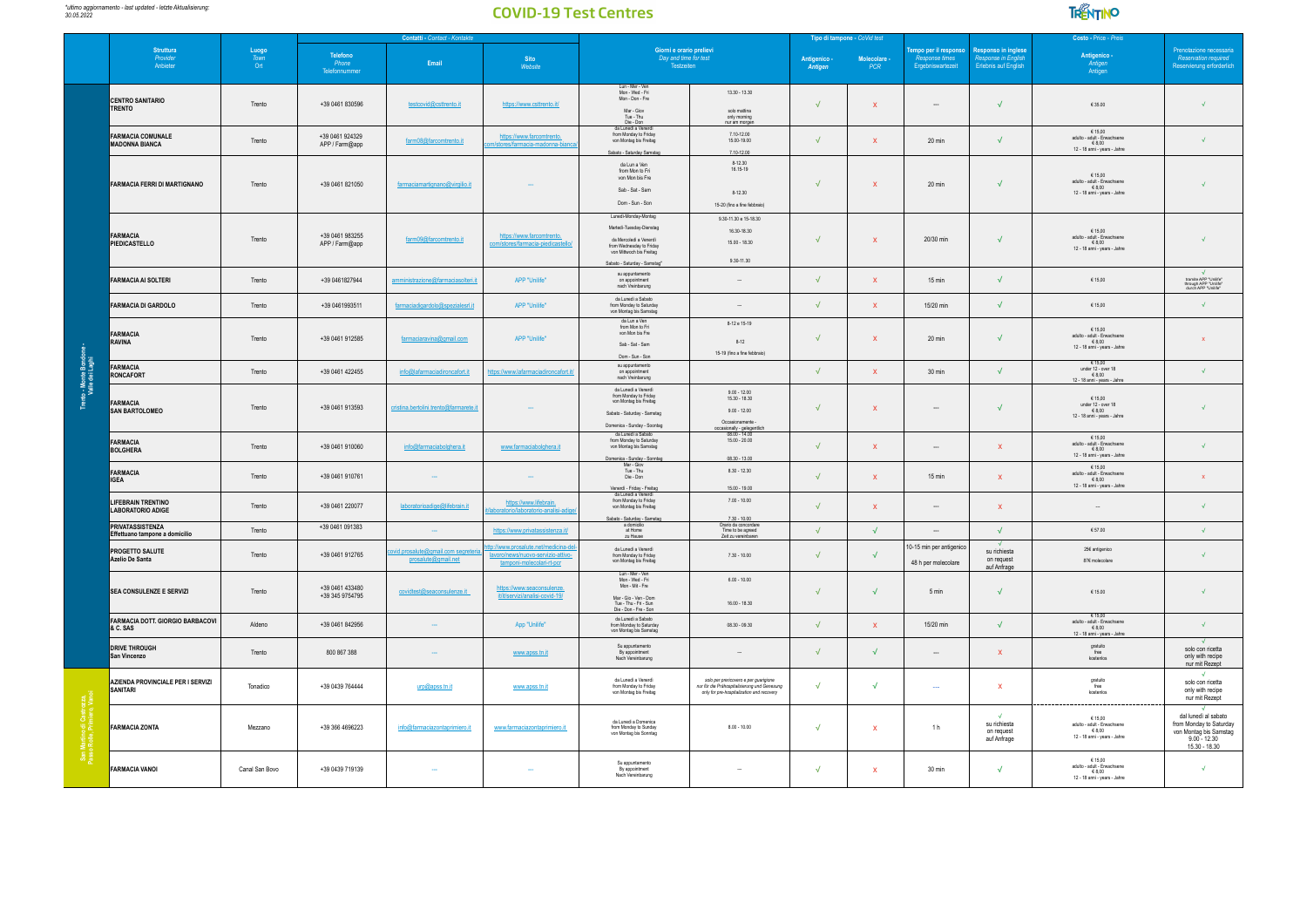

|                                     | Contatti - Contact - Kontakte                             |                                             |                                                   |                                                        |                                                                                                     |                                                                                                                                                                    | Tipo di tampone - CoVid test                                                                                                       |                         |                            | Costo - Price - Preis                                        |                                                                      |                                                                                                                        |                                                                                                              |
|-------------------------------------|-----------------------------------------------------------|---------------------------------------------|---------------------------------------------------|--------------------------------------------------------|-----------------------------------------------------------------------------------------------------|--------------------------------------------------------------------------------------------------------------------------------------------------------------------|------------------------------------------------------------------------------------------------------------------------------------|-------------------------|----------------------------|--------------------------------------------------------------|----------------------------------------------------------------------|------------------------------------------------------------------------------------------------------------------------|--------------------------------------------------------------------------------------------------------------|
|                                     | Struttura<br><i>Provider</i><br>Anbieter                  | $\frac{L \text{uogo}}{T \text{own}}$<br>Ort | Telefono<br>Phone<br>Email<br><b>Telefonnumme</b> |                                                        | Sito<br>Website                                                                                     | Giorni e orario prelievi<br>Day and time for test<br>Testzeiten                                                                                                    |                                                                                                                                    | Antigenico -<br>Antigen | Molecolare -<br><b>PCR</b> | fempo per il responso<br>Response times<br>Froebniswartezeit | Responso in inglese<br>Resnonse in Fr<br><b>Erlebnis auf English</b> | Antigenico -<br>Antigen<br>Antigen                                                                                     | Prenotazione necessaria<br>Reservation required<br>Reservierung erforderlich                                 |
|                                     | <b>CENTRO SANITARIO</b><br><b>TRENTO</b>                  | Trento                                      | +39 0461 830596                                   | testcovid@csttrento.it                                 | https://www.csttrento.it/                                                                           | Lun - Mer - Ven<br>Mon - Wed - Fri<br>Mon - Don - Fre<br>Mar - Giov<br>Tue - Thu<br>Die - Don                                                                      | $13.30 - 13.30$<br>solo mattina<br>only morning                                                                                    | $\sqrt{ }$              | $\mathbf{x}$               |                                                              | $\sqrt{2}$                                                           | $\in$ 35.00                                                                                                            | $\sqrt{ }$                                                                                                   |
|                                     | <b>FARMACIA COMUNALE</b><br><b>MADONNA BIANCA</b>         | Trento                                      | +39 0461 924329<br>APP / Farm@app                 | farm08@farcomtrento.it                                 | https://www.farcomtrento.<br>res/farmacia-madonna-b                                                 | da Lunedì a Venerdì<br>from Monday to Friday<br>von Montag bis Freitag<br>Sabato - Saturday Samstag                                                                | nur am morger<br>7.10-12.00<br>15.00-19.00<br>7.10-12.00                                                                           | $\sqrt{ }$              | $\mathbf{x}$               | 20 min                                                       | $\sqrt{ }$                                                           | €15.00<br>adulto - adult - Erwachsene<br>€8.00<br>12 - 18 anni - years - Jahre                                         | $\sqrt{ }$                                                                                                   |
|                                     | <b>FARMACIA FERRI DI MARTIGNANO</b>                       | Trento                                      | +39 0461 821050                                   | farmaciamartignano@virgilio.it                         |                                                                                                     | da Lun a Ven<br>from Mon to Fri<br>von Mon bis Fre<br>Sab - Sat - Sam<br>Dom - Sun - Son                                                                           | $8 - 12.30$<br>16.15-19<br>$8 - 12.30$<br>15-20 (fino a fine febbraio)                                                             | $\sqrt{ }$              | $\mathsf X$                | $20 \text{ min}$                                             | $\sqrt{}$                                                            | € 15,00<br>adulto - adult - Erwachsene<br>6800<br>12 - 18 anni - years - Jahre                                         |                                                                                                              |
|                                     | ARMACIA<br>PIEDICASTELLO                                  | Trento                                      | +39 0461 983255<br>APP / Farm@app                 | farm09@farcomtrento.it                                 | https://www.farcomtrento<br>/farmacia-piedica                                                       | Lunedi-Monday-Montag<br>Martedì-Tuesday-Dienstag<br>da Mercoledì a Venerdì<br>from Wednesday to Friday<br>von Mittwoch bis Freitag<br>Sabato - Saturday - Samstag' | 9.30-11.30 e 15-18.30<br>16.30-18.30<br>$1500 - 1830$<br>9.30-11.30                                                                | $\sqrt{ }$              | $\mathbf{x}$               | 20/30 min                                                    | $\sqrt{ }$                                                           | € 15,00<br>adulto - adult - Erwachsene<br>68,00<br>12 - 18 anni - years - Jahre                                        |                                                                                                              |
|                                     | <b>FARMACIA AI SOLTERI</b>                                | Trento                                      | +39 0461827944                                    | amministrazione@farmaciasolteri.it                     | APP "Unilife"                                                                                       | su appuntamento<br>on appointment<br>nach Vreinbarung                                                                                                              |                                                                                                                                    | $\sqrt{ }$              | $\mathbf{x}$               | $15 \text{ min}$                                             | $\sqrt{ }$                                                           | €15.00                                                                                                                 | tramite APP "Unilife<br>through APP "Unilife"<br>durch APP "Unilife"                                         |
|                                     | <b>FARMACIA DI GARDOLO</b>                                | Trento                                      | +39 0461993511                                    | farmaciadigardolo@spezialesrl.it                       | APP "Unilife"                                                                                       | da Lunedì a Sabato<br>from Monday to Saturday<br>von Montag bis Samstag                                                                                            |                                                                                                                                    | $\sqrt{ }$              | $\mathbf{x}$               | 15/20 min                                                    | $\sqrt{2}$                                                           | €15.00                                                                                                                 | $\sqrt{ }$                                                                                                   |
|                                     | <b>FARMACIA</b><br>RAVINA                                 | Trento                                      | +39 0461 912585                                   | farmaciaravina@gmail.com                               | APP "Unilife"                                                                                       | da Lun a Ven<br>from Mon to Fri<br>von Mon bis Fre<br>Sab - Sat - Sam<br>Dom - Sun - Son                                                                           | 8-12 e 15-19<br>$8 - 12$<br>15-19 (fino a fine febbraio)                                                                           | $\sqrt{ }$              | $\mathbf{x}$               | 20 min                                                       | $\sqrt{}$                                                            | €15.00<br>adulto - adult - Erwachsene<br>€ 8,00<br>12 - 18 anni - years - Jahre                                        | $\mathbf x$                                                                                                  |
| to - Monte Bondo<br>Valle dei Laghi | <b>FARMACIA</b><br><b>RONCAFORT</b>                       | Trento                                      | +39 0461 422455                                   | info@lafarmaciadironcafort.it                          | ttps://www.lafarmaciadironcafort.it                                                                 | su appuntamento<br>on appointment<br>nach Vreinbarung                                                                                                              |                                                                                                                                    | $\sqrt{ }$              | $\mathsf X$                | $30 \text{ min}$                                             | $\sqrt{2}$                                                           | €15.00<br>$\begin{array}{c}\n\text{under 12 - over 18} \\ \text{in 8,00}\n\end{array}$<br>12 - 18 anni - years - Jahre | $\sqrt{ }$                                                                                                   |
|                                     | FARMACIA<br><b>SAN BARTOLOMEO</b>                         | Trento                                      | +39 0461 913593                                   | cristina.bertolini.trento@farmarete.it                 |                                                                                                     | da Lunedì a Venerdì<br>from Monday to Friday<br>von Montag bis Freitag<br>Sabato - Saturday - Samstag<br>Domenica - Sunday - Soontag                               | $9.00 - 12.00$<br>$15.30 - 18.30$<br>$9.00 - 12.00$<br>Occasionamente                                                              | $\sqrt{ }$              | $\mathbf{x}$               | $\cdots$                                                     | $\sqrt{ }$                                                           | 61500<br>under 12 - over 18<br>€ 8,00<br>12 - 18 anni - years - Jahre                                                  | $\sqrt{ }$                                                                                                   |
|                                     | <b>FARMACIA</b><br><b>BOLGHERA</b>                        | Trento                                      | $+390461910060$                                   | info@farmaciabolghera.it                               | www.farmaciabolghera.it                                                                             | da Lunedì a Sabato<br>from Monday to Saturday<br>von Montag bis Samstag<br>Domenica - Sunday - Sonntag                                                             | occasionally - gelegentich<br>08.00 - 14.00<br>$15.00 - 20.00$<br>$08.30 - 13.00$                                                  | $\sqrt{ }$              | $\mathbf{x}$               | $\sim$                                                       | $\mathbf{x}$                                                         | € 15,00<br>adulto - adult - Erwachsene<br>€8.00<br>12 - 18 anni - years - Jahre                                        | $\mathcal{A}$                                                                                                |
|                                     | <b>FARMACIA</b><br>IGEA                                   | Trento                                      | +39 0461 910761                                   |                                                        |                                                                                                     | Mar - Giov<br>Tue - Thu<br>Die - Don<br>Venerdi - Friday - Freitag                                                                                                 | $8.30 - 12.30$<br>$15.00 - 19.00$                                                                                                  | $\sqrt{ }$              | $\mathbf{x}$               | 15 min                                                       | $\mathbf{x}$                                                         | € 15,00<br>adulto - adult - Erwachsene<br>€8.00<br>12 - 18 anni - years - Jahre                                        | $\mathbf{x}$                                                                                                 |
|                                     | <b>LIFEBRAIN TRENTINO</b><br>LABORATORIO ADIGE            | Trento                                      | +39 0461 220077                                   | laboratorioadige@lifebrain.it                          | https://www.lifebrain.<br>oratorio-analisi                                                          | da Lunedì a Venerdì<br>from Monday to Friday<br>von Montag bis Freitag<br>Sabato - Saturday - Samstag                                                              | $7.00 - 10.00$<br>$7.30 - 10.00$<br>Orario da concord                                                                              | $\sqrt{ }$              | $\mathbf{x}$               | $\sim$                                                       | $\mathbf{x}$                                                         |                                                                                                                        | $\mathcal{A}$                                                                                                |
|                                     | <b>PRIVATASSISTENZA</b><br>Effettuano tampone a domicilio | Trento                                      | +39 0461 091383                                   |                                                        | https://www.privatassistenza.it/                                                                    | at Home<br>zu Hause                                                                                                                                                | Time to be agreed<br>Zeit zu vereinbaren                                                                                           | $\sqrt{ }$              | $\sqrt{2}$                 | $\cdots$                                                     | $\sqrt{ }$                                                           | $\in$ 57.00                                                                                                            | $\sqrt{ }$                                                                                                   |
|                                     | PROGETTO SALUTE<br>Azelio De Santa                        | Trento                                      | +39 0461 912765                                   | wid.prosalute@gmail.com segrete<br>prosalute@gmail.net | p://www.prosalute.net/medicina-de<br>avoro/news/nuovo-servizio-attivo-<br>tamponi-molecolari-rt-pcr | da Lunedì a Venerdì<br>from Monday to Friday<br>von Montag bis Freitag                                                                                             | $7.30 - 10.00$                                                                                                                     | $\sqrt{ }$              | $\sqrt{ }$                 | 10-15 min per antigenico<br>48 h per molecolare              | $\sqrt{ }$<br>su richiesta<br>on request<br>auf Anfrage              | 256 antigenico<br>87€ molecolare                                                                                       |                                                                                                              |
|                                     | <b>SEA CONSULENZE E SERVIZI</b>                           | Trento                                      | +39 0461 433480<br>+39 345 9754795                | covidtest@seaconsulenze it                             | https://www.seaconsulenze<br>it/it/servizi/analisi-covid-19                                         | Lun - Mer - Ven<br>Mon - Wed - Fri<br>Mon - Mit - Fre<br>Mar - Gio - Ven - Dom<br>Tue - Thu - Fri - Sun<br>Die - Don - Fre - Son                                   | $600 - 1000$<br>$16.00 - 18.30$                                                                                                    | $\sqrt{ }$              | $\sqrt{2}$                 | 5 min                                                        | $\sqrt{ }$                                                           | €15.00                                                                                                                 | $\sqrt{2}$                                                                                                   |
|                                     | FARMACIA DOTT. GIORGIO BARBACOVI<br>& C. SAS              | Aldeno                                      | +39 0461 842956                                   |                                                        | App "Unilife"                                                                                       | da Lunedì a Sabato<br>from Monday to Saturday<br>von Montag bis Samstag                                                                                            | $08.30 - 09.30$                                                                                                                    | $\sqrt{ }$              | $\mathbf{x}$               | 15/20 min                                                    | $\sqrt{ }$                                                           | €15.00<br>adulto - adult - Erwachsene<br>68,00<br>12 - 18 anni - years - Jahre                                         | $\sqrt{ }$                                                                                                   |
|                                     | <b>DRIVE THROUGH</b><br>San Vincenzo                      | Trento                                      | 800 867 388                                       |                                                        | www.apss.tn.it                                                                                      | Su appuntamento<br>By appointment<br>Nach Vereinbarung                                                                                                             |                                                                                                                                    | $\sqrt{ }$              | $\sqrt{ }$                 | $\sim$                                                       | $\mathbf{x}$                                                         | gratuito<br>free<br>kostenios                                                                                          | solo con ricetta<br>only with recipe<br>nur mit Rezept                                                       |
|                                     | AZIENDA PROVINCIALE PER I SERVIZI<br>SANITARI             | Tonadico                                    | +39 0439 764444                                   | urp@apss.tn.it                                         | www.apss.tn.it                                                                                      | da Lunedì a Venerdì<br>from Monday to Friday<br>von Montag bis Freitag                                                                                             | solo per prericovero e per guarigione<br>nur für die Prähospitalisierung und Genesung<br>only for pre-hospitalization and recovery | $\sqrt{ }$              | $\sqrt{2}$                 | $\sim$                                                       | $\mathbf{x}$                                                         | $\frac{\text{gratuito}}{\text{free}}$<br>kostenlos                                                                     | $\sqrt{2}$<br>solo con ricetta<br>only with recipe<br>nur mit Rezept                                         |
|                                     | <b>FARMACIA ZONTA</b>                                     | Mezzano                                     | +39 366 4696223                                   | info@farmaciazontaprimiero.it                          | www.farmaciazontaprimiero.it                                                                        | da Lunedi a Domenica<br>from Monday to Sunday<br>von Montag bis Sonntag                                                                                            | $8.00 - 10.00$                                                                                                                     | $\sqrt{ }$              | $\mathbf{x}$               | 1 <sub>h</sub>                                               | su richiesta<br>on request<br>auf Anfrage                            | $\substack{\text{€ 15,00}\ \text{add} \text{1-Fwachsene}}$ adulto - adult - Erwachsene<br>12 - 18 anni - years - Jahre | dal lunedì al sabato<br>from Monday to Saturday<br>von Montag bis Samstag<br>$9.00 - 12.30$<br>15.30 - 18.30 |
|                                     | <b>FARMACIA VANOI</b>                                     | Canal San Bovo                              | +39 0439 719139                                   |                                                        |                                                                                                     | Su appuntamento<br>By appointment<br>Nach Vereinbarung                                                                                                             |                                                                                                                                    | $\sqrt{ }$              | $\mathbf{x}$               | $30 \text{ min}$                                             | $\sqrt{ }$                                                           | € 15,00<br>adulto - adult - Erwachsene<br>€ 8,00<br>12 - 18 anni - years - Jahre                                       | $\sqrt{ }$                                                                                                   |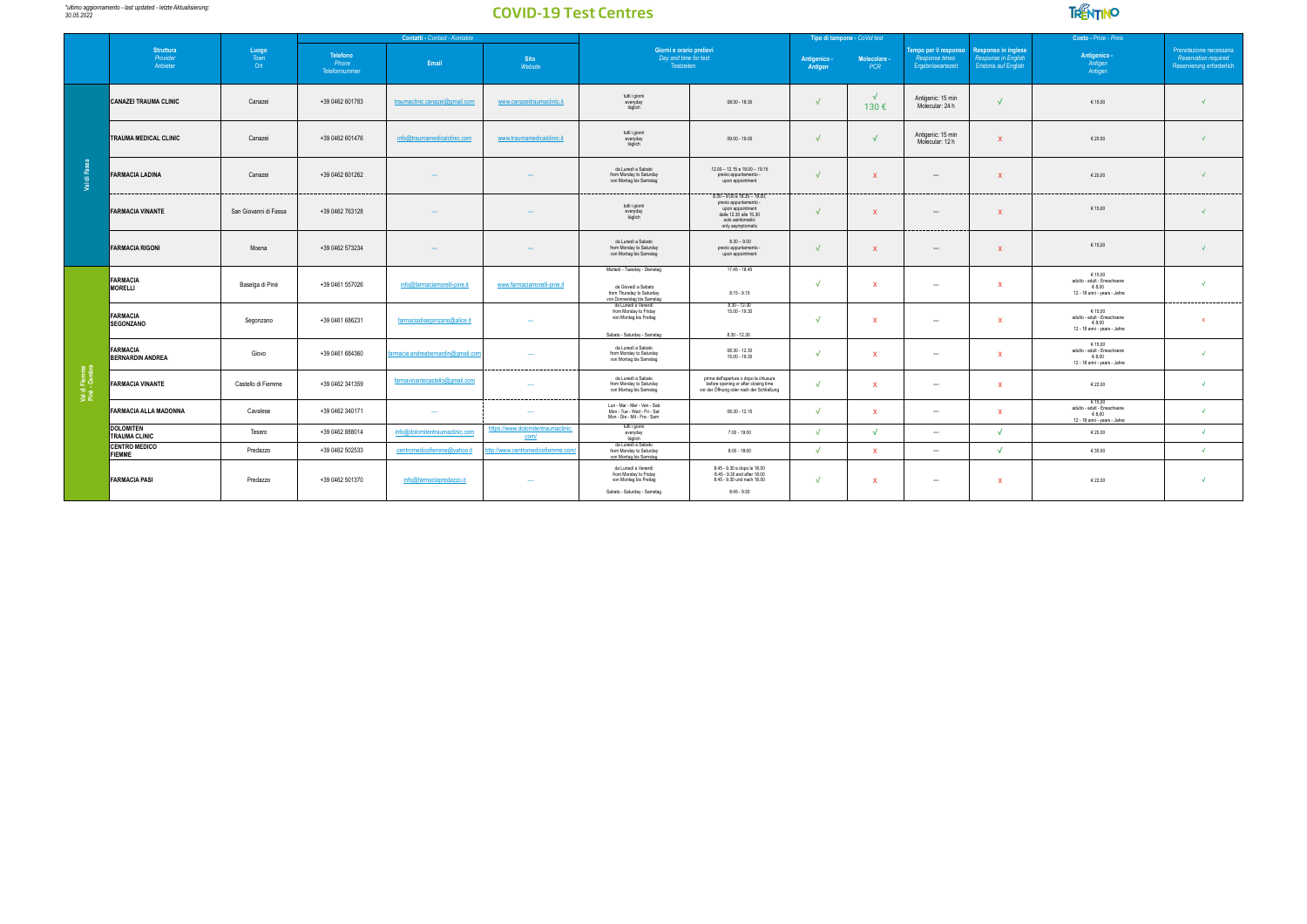

|                                |                                            |                             | Contatti - Contact - Kontakte      |                                   |                                           |                                                                                                                |                                                                                                                                               |                         | Tipo di tampone - CoVid test |                                                                    |                                                                                  | Costo - Price - Preis                                                           |                                                                                     |
|--------------------------------|--------------------------------------------|-----------------------------|------------------------------------|-----------------------------------|-------------------------------------------|----------------------------------------------------------------------------------------------------------------|-----------------------------------------------------------------------------------------------------------------------------------------------|-------------------------|------------------------------|--------------------------------------------------------------------|----------------------------------------------------------------------------------|---------------------------------------------------------------------------------|-------------------------------------------------------------------------------------|
|                                | <b>Struttura</b><br>Provider<br>Anbieter   | Luogo<br><b>Town</b><br>Ort | Telefono<br>Phone<br>Telefonnummer | Email                             | <b>Sito</b><br>Website                    | Giorni e orario prelievi<br>Day and time for test<br>Testzeiten                                                |                                                                                                                                               | Antigenico -<br>Antigen | Molecolare -<br><b>PCR</b>   | empo per il responso<br><b>Response times</b><br>Ergebniswartezeit | <b>Responso in inglese</b><br>Response in English<br><b>Erlebnis auf English</b> | Antigenico -<br>Antigen<br>Antigen                                              | Prenotazione necessaria<br><b>Reservation required</b><br>Reservierung erforderlich |
|                                | <b>CANAZEI TRAUMA CLINIC</b>               | Canazei                     | +39 0462 601783                    | traumaclinic.canazei@gmail.com    | www.canazeitraumaclinic.it                | tutti i giorni<br>everyday<br>täglich                                                                          | $08:30 - 18:30$                                                                                                                               | $\sqrt{ }$              | $\sqrt{ }$<br>130€           | Antigenic: 15 min<br>Molecular: 24 h                               | $\sqrt{ }$                                                                       | €15.00                                                                          |                                                                                     |
|                                | <b>TRAUMA MEDICAL CLINIC</b>               | Canazei                     | +39 0462 601476                    | info@traumamedicalclinic.com      | www.traumamedicalclinic.it                | tutti i giorni<br>everyday<br>täglich                                                                          | $09.00 - 19.00$                                                                                                                               | $\sqrt{ }$              | $\sqrt{ }$                   | Antigenic: 15 min<br>Molecular: 12 h                               | $\mathbf{x}$                                                                     | €20.00                                                                          |                                                                                     |
| Val di Fas                     | <b>FARMACIA LADINA</b>                     | Canazei                     | +39 0462 601262                    |                                   |                                           | da Lunedì a Sabato<br>from Monday to Saturday<br>von Montag bis Samstag                                        | 12.00 - 12.15 e 19.00 - 19.15<br>previo appuntamento -<br>upon appointment                                                                    |                         | x                            | $\sim$                                                             | $\mathbf{x}$                                                                     | € 20,00                                                                         |                                                                                     |
|                                | <b>FARMACIA VINANTE</b>                    | San Giovanni di Fassa       | +39 0462 763128                    |                                   |                                           | tutti i giorni<br>everyday<br>täglich                                                                          | 8.30 - 9.00 e 18.30 - 19.00;<br>previo appuntamento -<br>upon appointment<br>dalle 12.30 alle 15.30<br>solo asintomatici<br>only asymptomatic |                         | x                            |                                                                    | $\mathbf{x}$                                                                     | € 15,00                                                                         |                                                                                     |
|                                | <b>FARMACIA RIGONI</b>                     | Moena                       | +39 0462 573234                    |                                   |                                           | da Lunedì a Sabato<br>from Monday to Saturday<br>von Montag bis Samstag                                        | $8.30 - 9.00$<br>previo appuntamento<br>upon appointment                                                                                      |                         |                              | $\cdots$                                                           | $\mathbf{x}$                                                                     | € 15,00                                                                         |                                                                                     |
|                                | FARMACIA<br>MORELLI                        | Baselga di Pinè             | +39 0461 557026                    | info@farmaciamorelli-pine.it      | www.farmaciamorelli-pine.it               | Martedi - Tuesday - Dienstag<br>da Giovedì a Sabato<br>from Thursday to Saturday<br>von Donnerstag bis Samstag | 17.45 - 18.45<br>$8.15 - 9.15$                                                                                                                | $\overline{ }$          | x                            | -                                                                  | $\mathbf{v}$                                                                     | €15.00<br>adulto - adult - Erwachsene<br>€8,00<br>12 - 18 anni - years - Jahre  |                                                                                     |
|                                | FARMACIA<br><b>SEGONZANO</b>               | Segonzano                   | +39 0461 686231                    | farmaciadisegonzano@alice.it      |                                           | da Lunedì a Venerdì<br>from Monday to Friday<br>von Montag bis Freitag<br>Sabato - Saturday - Samstag          | $8.30 - 12 - 30$<br>$15.00 - 19.30$<br>$8.30 - 12.30$                                                                                         | $\sqrt{ }$              | x                            | $\sim$                                                             | $\mathbf{x}$                                                                     | €15.00<br>adulto - adult - Erwachsene<br>€8,00<br>12 - 18 anni - years - Jahre  |                                                                                     |
|                                | <b>FARMACIA</b><br><b>BERNARDIN ANDREA</b> | Giovo                       | +39 0461 684360                    | armacia.andreabernardin@gmail.com | $\overline{a}$                            | da Lunedì a Sabato<br>from Monday to Saturday<br>von Montag bis Samstag                                        | $08.30 - 12.30$<br>$15.00 - 19.30$                                                                                                            | $\sqrt{ }$              | $\mathbf{x}$                 | $\sim$                                                             | $\mathbf{x}$                                                                     | € 15,00<br>adulto - adult - Erwachsene<br>€8.00<br>12 - 18 anni - years - Jahre |                                                                                     |
| Val di Fiemme<br>Pinè - Cembra | <b>FARMACIA VINANTE</b>                    | Castello di Fiemme          | +39 0462 341359                    | farmavinantecastello@gmail.com    |                                           | da Lunedì a Sabato<br>from Monday to Saturday<br>von Montag bis Samstag                                        | prima dell'apertura o dopo la chiusura<br>before opening or after closing time<br>vor der Öffnung oder nach der Schließung                    | $\sqrt{ }$              | $\mathbf{x}$                 | $\sim$                                                             | $\mathbf{x}$                                                                     | €22.00                                                                          |                                                                                     |
|                                | <b>FARMACIA ALLA MADONNA</b>               | Cavalese                    | +39 0462 340171                    | $\sim$                            | $\sim$                                    | Lun - Mar - Mer - Ven - Sab<br>Mon - Tue - Wed - Fri - Sat<br>Mon - Die - Mit - Fre - Sam                      | $08.30 - 12.15$                                                                                                                               | $\sqrt{ }$              | x                            | $\sim$                                                             | $\mathbf{x}$                                                                     | € 15,00<br>adulto - adult - Erwachsene<br>€8,00<br>12 - 18 anni - years - Jahre |                                                                                     |
|                                | <b>DOLOMITEN</b><br><b>TRAUMA CLINIC</b>   | Tesero                      | +39 0462 888014                    | info@dolomitentraumaclinic.com    | https://www.dolomitentraumaclinic<br>com/ | tutti i giorni<br>everyday<br>täglich                                                                          | $7:00 - 19:00$                                                                                                                                | $\sqrt{ }$              | √                            | $\sim$                                                             | $\mathcal{L}$                                                                    | €20.00                                                                          |                                                                                     |
|                                | <b>CENTRO MEDICO</b><br>FIEMME             | Predazzo                    | +39 0462 502533                    | centromedicofiemme@yahoo.it       | http://www.centromedicofiemme.com         | da Lunedì a Sabato<br>from Monday to Saturday<br>von Montag bis Samstag                                        | $8:00 - 18:00$                                                                                                                                | $\sqrt{ }$              | $\mathbf{x}$                 | $\cdots$                                                           | $\sqrt{ }$                                                                       | €35.00                                                                          | $\mathcal{L}$                                                                       |
|                                | <b>FARMACIA PASI</b>                       | Predazzo                    | +39 0462 501370                    | info@farmaciapredazzo.it          | $\overline{\phantom{a}}$                  | da Lunedì a Venerdì<br>from Monday to Friday<br>von Montag bis Freitag<br>Sabato - Saturday - Samstag          | 8.45 - 9.30 e dopo le 18.00<br>8.45 - 9.30 and after 18.00<br>8.45 - 9.30 und nach 18.00<br>$8:45 - 9:30$                                     | $\sqrt{ }$              | x                            | $\sim$                                                             | $\mathbf{x}$                                                                     | €22.00                                                                          | $\sqrt{2}$                                                                          |
|                                |                                            |                             |                                    |                                   |                                           |                                                                                                                |                                                                                                                                               |                         |                              |                                                                    |                                                                                  |                                                                                 |                                                                                     |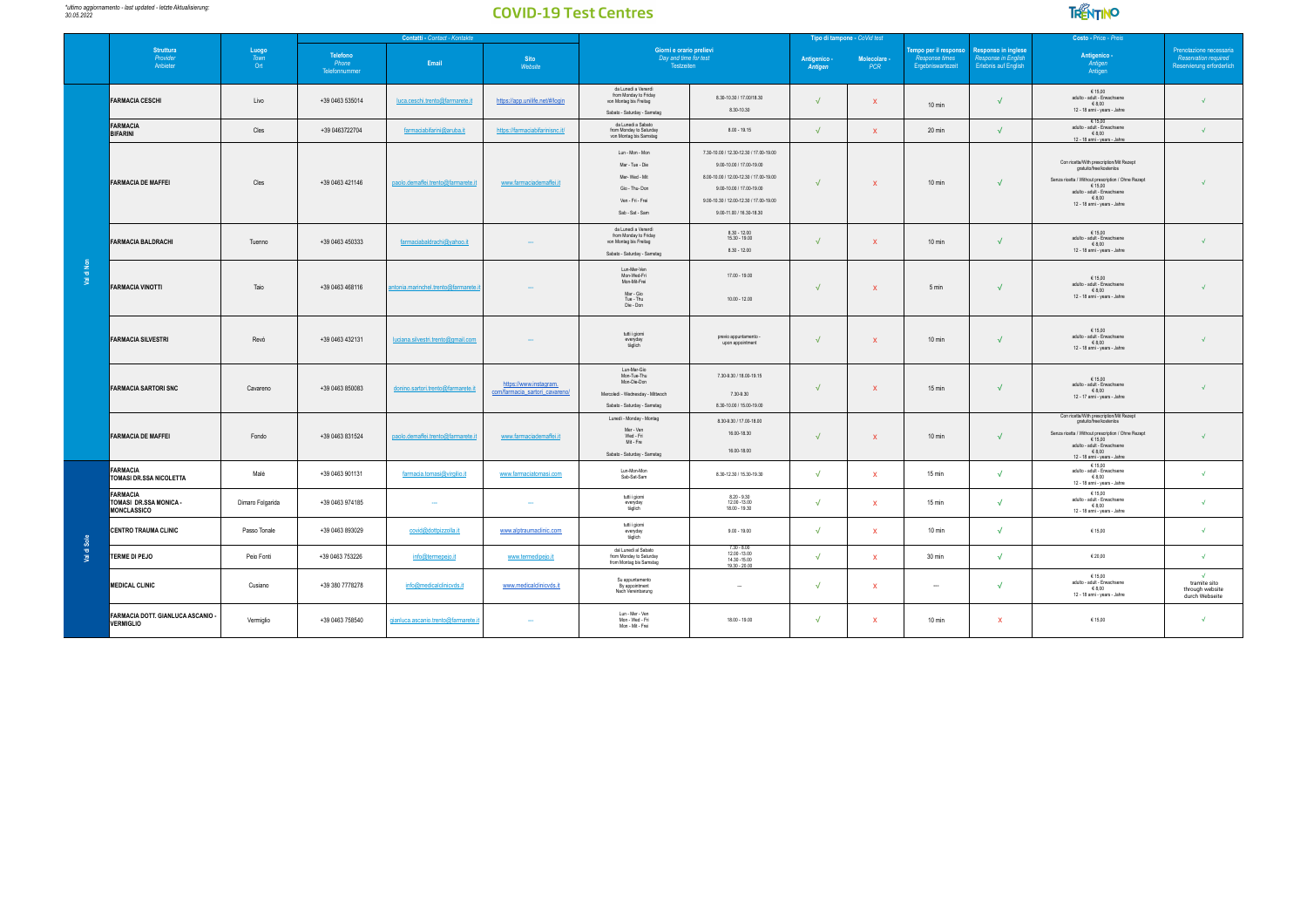

|             |                                                                 |                            |                                    | Contatti - Contact - Kontakte         |                                                          |                                                                                                              |                                                                                                                                                                                                                | Tipo di tampone - CoVid test |                            |                                                                    |                                                                           | Costo - Price - Preis                                                                                                                                                                                        |                                                                              |
|-------------|-----------------------------------------------------------------|----------------------------|------------------------------------|---------------------------------------|----------------------------------------------------------|--------------------------------------------------------------------------------------------------------------|----------------------------------------------------------------------------------------------------------------------------------------------------------------------------------------------------------------|------------------------------|----------------------------|--------------------------------------------------------------------|---------------------------------------------------------------------------|--------------------------------------------------------------------------------------------------------------------------------------------------------------------------------------------------------------|------------------------------------------------------------------------------|
|             | <b>Struttura</b><br>Provider<br>Anbieter                        | $\frac{Lugo}{Town}$<br>Ort | Telefono<br>Phone<br>Telefonnummer | Email                                 | <b>Sito</b><br>Website                                   | Giorni e orario prelievi<br>Day and time for test<br>Testzeiten                                              |                                                                                                                                                                                                                | Antigenico -<br>Antigen      | Molecolare -<br><b>PCR</b> | empo per il responso<br><b>Response times</b><br>Ergebniswartezeit | <b>Responso in inglese</b><br>Response in Englisi<br>Erlebnis auf English | Antigenico -<br>Antigen<br>Antigen                                                                                                                                                                           | Prenotazione necessaria<br>Reservation required<br>Reservierung erforderlich |
|             | <b>FARMACIA CESCHI</b>                                          | Livo                       | +39 0463 535014                    | luca.ceschi.trento@farmarete.it       | https://app.unilife.net/#/login                          | da Lunedì a Venerdì<br>from Monday to Friday<br>von Montag bis Freitag<br>Sabato - Saturday - Samstag        | 8.30-10.30 / 17.00/18.30<br>8.30-10.30                                                                                                                                                                         | $\sqrt{ }$                   | $\mathbf{x}$               | $10 \text{ min}$                                                   | $\sqrt{ }$                                                                | € 15.00<br>adulto - adult - Erwachsene<br>€8.00<br>12 - 18 anni - years - Jahre                                                                                                                              |                                                                              |
|             | FARMACIA<br>BIFARINI                                            | Cles                       | +39 0463722704                     | farmaciabifarini@aruba.it             | https://farmaciabifarinisnc.it/                          | da Lunedi a Sabato<br>from Monday to Saturday<br>von Montag bis Samstag                                      | 8.00 - 19.15                                                                                                                                                                                                   | $\sqrt{ }$                   | $\mathbf{x}$               | 20 min                                                             | $\sqrt{ }$                                                                | € 15,00<br>adulto - adult - Erwachsene<br>€8,00<br>12 - 18 anni - years - Jahre                                                                                                                              | $\mathcal{L}$                                                                |
|             | <b>FARMACIA DE MAFFEI</b>                                       | Cles                       | +39 0463 421146                    | paolo.demaffei.trento@farmarete.it    | www.farmaciademaffei.it                                  | Lun - Mon - Mon<br>Mar - Tue - Die<br>Mer-Wed - Mit<br>Gio - Thu-Don<br>Ven - Fri - Frei<br>Sab - Sat - Sam  | 7.30-10.00 / 12.30-12.30 / 17.00-19.00<br>9.00-10.00 / 17.00-19.00<br>8.00-10.00 / 12.00-12.30 / 17.00-19.00<br>9.00-10.00 / 17.00-19.00<br>9.00-10.30 / 12.00-12.30 / 17.00-19.00<br>9.00-11.00 / 16.30-18.30 | $\sqrt{ }$                   | $\mathbf{x}$               | $10 \text{ min}$                                                   | $\sqrt{ }$                                                                | Con ricetta/With prescription/Mit Rezept<br>gratuito/free/kostenios<br>Senza ricetta / Without prescription / Ohne Rezept<br>€ 15,00<br>adulto - adult - Erwachsene<br>€8,00<br>12 - 18 anni - years - Jahre |                                                                              |
|             | <b>FARMACIA BALDRACHI</b>                                       | Tuenno                     | +39 0463 450333                    | farmaciabaldrachi@vahoo.it            |                                                          | da Lunedì a Venerdì<br>from Monday to Friday<br>von Montag bis Freitag<br>Sabato - Saturday - Samstag        | $8.30 - 12.00$<br>$15.30 - 19.00$<br>$8.30 - 12.00$                                                                                                                                                            | $\sqrt{ }$                   | $\mathbf{x}$               | $10 \text{ min}$                                                   | $\sqrt{ }$                                                                | € 15,00<br>adulto - adult - Erwachsene<br>€8,00<br>12 - 18 anni - years - Jahre                                                                                                                              |                                                                              |
| di No<br>्छ | <b>FARMACIA VINOTTI</b>                                         | Taio                       | +39 0463 468116                    | intonia.marinchel.trento@farmarete.it |                                                          | Lun-Mer-Ven<br>Mon-Wed-Fri<br>Mon-Mit-Frei<br>Mar - Gio<br>Tue - Thu<br>Die - Don                            | $17.00 - 19.00$<br>$10.00 - 12.00$                                                                                                                                                                             | $\sqrt{ }$                   | $\mathbf{x}$               | 5 min                                                              | $\sqrt{ }$                                                                | € 15,00<br>adulto - adult - Erwachsene<br>€8,00<br>12 - 18 anni - years - Jahre                                                                                                                              |                                                                              |
|             | <b>FARMACIA SILVESTRI</b>                                       | Revò                       | +39 0463 432131                    | luciana.silvestri.trento@gmail.com    |                                                          | tutti i giorni<br>everyday<br>täglich                                                                        | previo appuntamento -<br>upon appointment                                                                                                                                                                      | $\sqrt{ }$                   | $\mathbf{x}$               | $10 \text{ min}$                                                   | $\sqrt{ }$                                                                | € 15,00<br>adulto - adult - Erwachsene<br>68,00<br>12 - 18 anni - years - Jahre                                                                                                                              |                                                                              |
|             | <b>FARMACIA SARTORI SNC</b>                                     | Cavareno                   | +39 0463 850083                    | donino.sartori.trento@farmarete.it    | https://www.instagram.<br>com/farmacia_sartori_cavareno/ | Lun-Mar-Gio<br>Mon-Tue-Thu<br>Mon-Die-Don<br>Mercoledi - Wednesday - Mittwoch<br>Sabato - Saturday - Samstag | 7.30-9.30 / 18.00-19.15<br>7.30-9.30<br>8.30-10.00 / 15.00-19.00                                                                                                                                               | $\sqrt{ }$                   | $\mathbf{x}$               | $15 \text{ min}$                                                   | $\sqrt{ }$                                                                | € 15,00<br>adulto - adult - Erwachsene<br>68,00<br>12 - 17 anni - years - Jahre                                                                                                                              |                                                                              |
|             | <b>FARMACIA DE MAFFEI</b>                                       | Fondo                      | +39 0463 831524                    | paolo.demaffei.trento@farmarete.it    | www.farmaciademaffei.it                                  | Lunedi - Monday - Montag<br>Mer - Ven<br>Wed - Fri<br>Mit - Fre<br>Sabato - Saturday - Samstag               | 8.30-9.30 / 17.00-18.00<br>16.00-18.30<br>16.00-18.00                                                                                                                                                          | $\sqrt{ }$                   | $\mathbf{x}$               | $10 \text{ min}$                                                   | $\sqrt{ }$                                                                | Con ricetta/With prescription/Mit Rezept<br>gratuito/free/kostenios<br>Senza ricetta / Without prescription / Ohne Rezept<br>€ 15,00<br>adulto - adult - Erwachsene<br>€8,00<br>12 - 18 anni - years - Jahre |                                                                              |
|             | <b>FARMACIA</b><br>TOMASI DR.SSA NICOLETTA                      | Malè                       | +39 0463 901131                    | farmacia.tomasi@virgilio.it           | www.farmaciatomasi.com                                   | Lun-Mon-Mon<br>Sab-Sat-Sam                                                                                   | 8.30-12.30 / 15.30-19.30                                                                                                                                                                                       | $\sqrt{ }$                   | $\mathbf{x}$               | 15 min                                                             | $\sqrt{ }$                                                                | € 15,00<br>adulto - adult - Erwachsene<br>68,00<br>12 - 18 anni - years - Jahre                                                                                                                              | $\sqrt{2}$                                                                   |
|             | <b>FARMACIA</b><br>TOMASI DR.SSA MONICA -<br><b>MONCLASSICO</b> | Dimaro Folgarida           | +39 0463 974185                    | $\sim$                                | $\sim$                                                   | tutti i giorni<br>everyday<br>täglich                                                                        | $8.20 - 9.30$<br>12.00 - 13.00<br>18.00 - 19.30                                                                                                                                                                | √                            | $\mathbf{x}$               | 15 min                                                             | $\sqrt{ }$                                                                | € 15,00<br>adulto - adult - Erwachsene<br>€8,00<br>12 - 18 anni - years - Jahre                                                                                                                              |                                                                              |
|             | CENTRO TRAUMA CLINIC                                            | Passo Tonale               | +39 0463 893029                    | covid@dottpizzolla.it                 | www.alptraumaclinic.com                                  | tutti i giorni<br>everyday<br>täglich                                                                        | $9.00 - 19.00$                                                                                                                                                                                                 | $\sqrt{ }$                   | $\mathbf{x}$               | $10$ min                                                           | $\sqrt{ }$                                                                | € 15,00                                                                                                                                                                                                      | $\mathcal{A}$                                                                |
| Val di Sole | <b>TERME DI PEJO</b>                                            | Peio Fonti                 | +39 0463 753226                    | info@termepejo.it                     | www.termedipejo.it                                       | dal Lunedì al Sabato<br>from Monday to Saturday<br>from Montag bis Samstag                                   | $730 - 800$<br>12.00 -13.00<br>14 30 -15 00<br>$19.30 - 20.00$                                                                                                                                                 | $\sqrt{ }$                   | $\mathbf{x}$               | 30 min                                                             | $\sqrt{ }$                                                                | €20,00                                                                                                                                                                                                       | $\mathcal{L}$                                                                |
|             | <b>MEDICAL CLINIC</b>                                           | Cusiano                    | +39 380 7778278                    | info@medicalclinicvds.it              | www.medicalclinicvds.it                                  | Su appuntamento<br>By appointment<br>Nach Vereinbarung                                                       | $\sim$                                                                                                                                                                                                         | $\sqrt{ }$                   | $\mathbf{x}$               | $\sim$                                                             | $\sqrt{ }$                                                                | € 15,00<br>adulto - adult - Erwachsene<br>€8,00<br>12 - 18 anni - years - Jahre                                                                                                                              | tramite sito<br>through website<br>durch Webseite                            |
|             | FARMACIA DOTT. GIANLUCA ASCANIO -<br><b>VERMIGLIO</b>           | Vermiglio                  | +39 0463 758540                    | gianluca.ascanio.trento@farmarete.it  |                                                          | Lun - Mer - Ven<br>Mon - Wed - Fri<br>Mon - Mit - Frei                                                       | 18.00 - 19.00                                                                                                                                                                                                  | $\sqrt{ }$                   | $\mathbf{x}$               | $10 \text{ min}$                                                   | $\mathbf{x}$                                                              | € 15,00                                                                                                                                                                                                      |                                                                              |